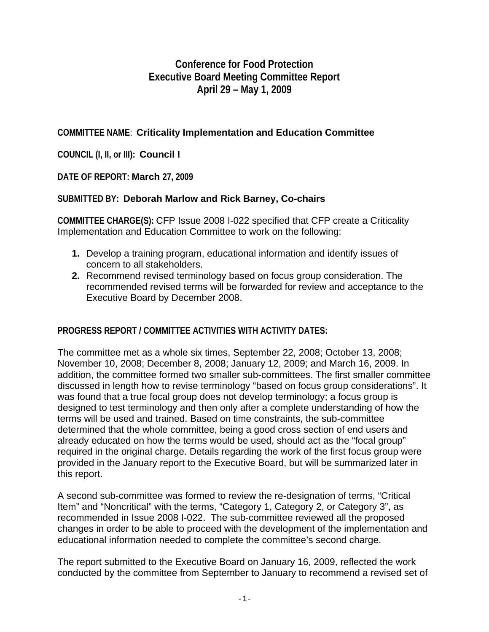# **Conference for Food Protection Executive Board Meeting Committee Report April 29 – May 1, 2009**

## **COMMITTEE NAME**: **Criticality Implementation and Education Committee**

**COUNCIL (I, II, or III): Council I** 

### **DATE OF REPORT: March 27, 2009**

### **SUBMITTED BY: Deborah Marlow and Rick Barney, Co-chairs**

**COMMITTEE CHARGE(S):** CFP Issue 2008 I-022 specified that CFP create a Criticality Implementation and Education Committee to work on the following:

- **1.** Develop a training program, educational information and identify issues of concern to all stakeholders.
- **2.** Recommend revised terminology based on focus group consideration. The recommended revised terms will be forwarded for review and acceptance to the Executive Board by December 2008.

### **PROGRESS REPORT / COMMITTEE ACTIVITIES WITH ACTIVITY DATES:**

The committee met as a whole six times, September 22, 2008; October 13, 2008; November 10, 2008; December 8, 2008; January 12, 2009; and March 16, 2009. In addition, the committee formed two smaller sub-committees. The first smaller committee discussed in length how to revise terminology "based on focus group considerations". It was found that a true focal group does not develop terminology; a focus group is designed to test terminology and then only after a complete understanding of how the terms will be used and trained. Based on time constraints, the sub-committee determined that the whole committee, being a good cross section of end users and already educated on how the terms would be used, should act as the "focal group" required in the original charge. Details regarding the work of the first focus group were provided in the January report to the Executive Board, but will be summarized later in this report.

A second sub-committee was formed to review the re-designation of terms, "Critical Item" and "Noncritical" with the terms, "Category 1, Category 2, or Category 3", as recommended in Issue 2008 I-022. The sub-committee reviewed all the proposed changes in order to be able to proceed with the development of the implementation and educational information needed to complete the committee's second charge.

The report submitted to the Executive Board on January 16, 2009, reflected the work conducted by the committee from September to January to recommend a revised set of